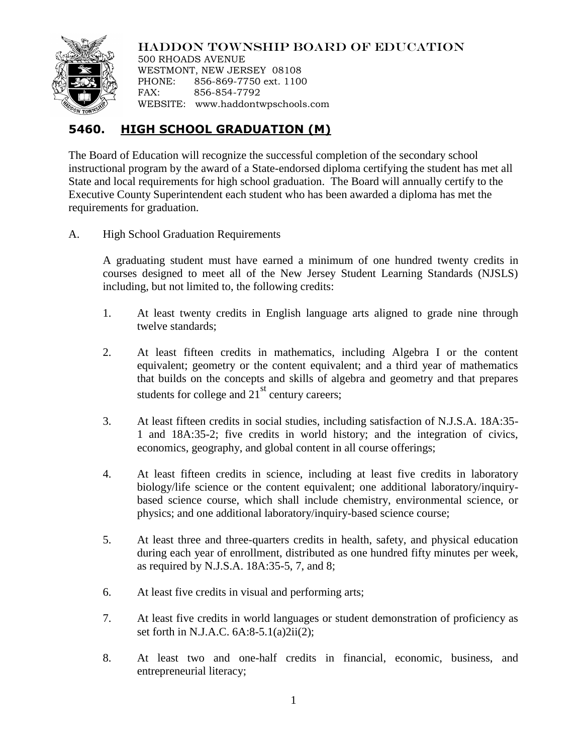

HADDON TOWNSHIP BOARD OF EDUCATION

500 RHOADS AVENUE WESTMONT, NEW JERSEY 08108 PHONE: 856-869-7750 ext. 1100 FAX: 856-854-7792 WEBSITE: www.haddontwpschools.com

## **5460. HIGH SCHOOL GRADUATION (M)**

The Board of Education will recognize the successful completion of the secondary school instructional program by the award of a State-endorsed diploma certifying the student has met all State and local requirements for high school graduation. The Board will annually certify to the Executive County Superintendent each student who has been awarded a diploma has met the requirements for graduation.

A. High School Graduation Requirements

A graduating student must have earned a minimum of one hundred twenty credits in courses designed to meet all of the New Jersey Student Learning Standards (NJSLS) including, but not limited to, the following credits:

- 1. At least twenty credits in English language arts aligned to grade nine through twelve standards;
- 2. At least fifteen credits in mathematics, including Algebra I or the content equivalent; geometry or the content equivalent; and a third year of mathematics that builds on the concepts and skills of algebra and geometry and that prepares students for college and  $21<sup>st</sup>$  century careers;
- 3. At least fifteen credits in social studies, including satisfaction of N.J.S.A. 18A:35- 1 and 18A:35-2; five credits in world history; and the integration of civics, economics, geography, and global content in all course offerings;
- 4. At least fifteen credits in science, including at least five credits in laboratory biology/life science or the content equivalent; one additional laboratory/inquirybased science course, which shall include chemistry, environmental science, or physics; and one additional laboratory/inquiry-based science course;
- 5. At least three and three-quarters credits in health, safety, and physical education during each year of enrollment, distributed as one hundred fifty minutes per week, as required by N.J.S.A. 18A:35-5, 7, and 8;
- 6. At least five credits in visual and performing arts;
- 7. At least five credits in world languages or student demonstration of proficiency as set forth in N.J.A.C. 6A:8-5.1(a)2ii(2);
- 8. At least two and one-half credits in financial, economic, business, and entrepreneurial literacy;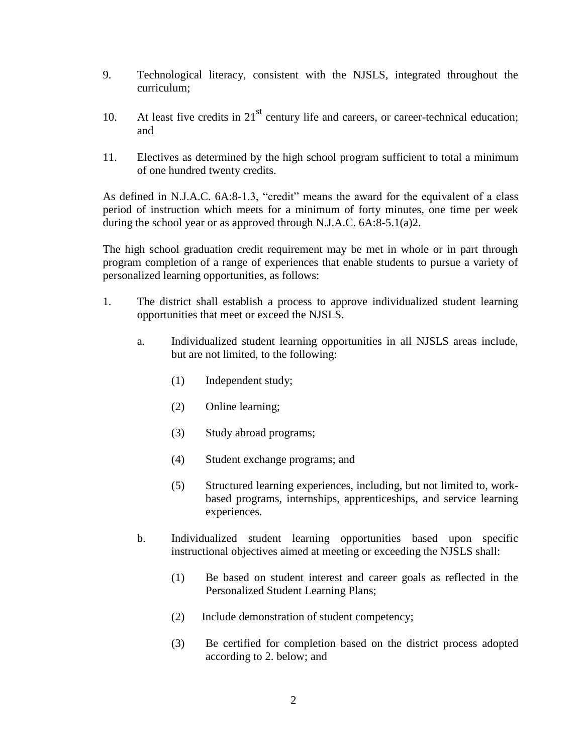- 9. Technological literacy, consistent with the NJSLS, integrated throughout the curriculum;
- 10. At least five credits in  $21<sup>st</sup>$  century life and careers, or career-technical education; and
- 11. Electives as determined by the high school program sufficient to total a minimum of one hundred twenty credits.

As defined in N.J.A.C. 6A:8-1.3, "credit" means the award for the equivalent of a class period of instruction which meets for a minimum of forty minutes, one time per week during the school year or as approved through N.J.A.C. 6A:8-5.1(a)2.

The high school graduation credit requirement may be met in whole or in part through program completion of a range of experiences that enable students to pursue a variety of personalized learning opportunities, as follows:

- 1. The district shall establish a process to approve individualized student learning opportunities that meet or exceed the NJSLS.
	- a. Individualized student learning opportunities in all NJSLS areas include, but are not limited, to the following:
		- (1) Independent study;
		- (2) Online learning;
		- (3) Study abroad programs;
		- (4) Student exchange programs; and
		- (5) Structured learning experiences, including, but not limited to, workbased programs, internships, apprenticeships, and service learning experiences.
	- b. Individualized student learning opportunities based upon specific instructional objectives aimed at meeting or exceeding the NJSLS shall:
		- (1) Be based on student interest and career goals as reflected in the Personalized Student Learning Plans;
		- (2) Include demonstration of student competency;
		- (3) Be certified for completion based on the district process adopted according to 2. below; and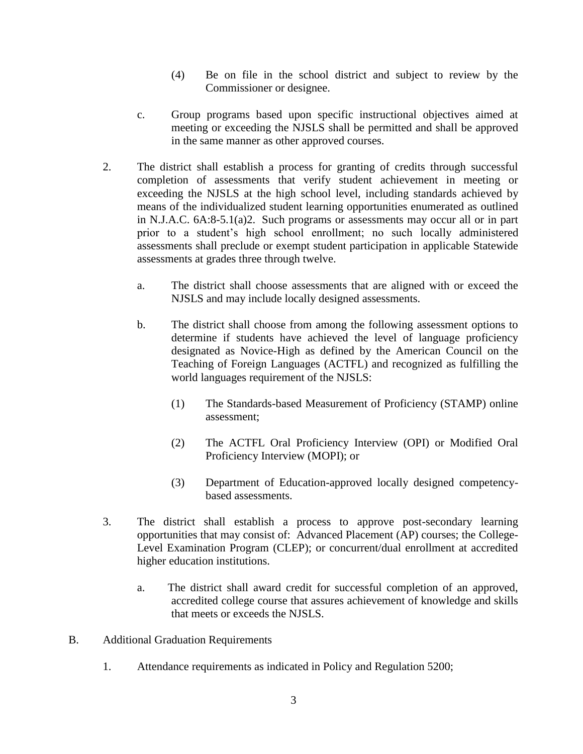- (4) Be on file in the school district and subject to review by the Commissioner or designee.
- c. Group programs based upon specific instructional objectives aimed at meeting or exceeding the NJSLS shall be permitted and shall be approved in the same manner as other approved courses.
- 2. The district shall establish a process for granting of credits through successful completion of assessments that verify student achievement in meeting or exceeding the NJSLS at the high school level, including standards achieved by means of the individualized student learning opportunities enumerated as outlined in N.J.A.C. 6A:8-5.1(a)2. Such programs or assessments may occur all or in part prior to a student's high school enrollment; no such locally administered assessments shall preclude or exempt student participation in applicable Statewide assessments at grades three through twelve.
	- a. The district shall choose assessments that are aligned with or exceed the NJSLS and may include locally designed assessments.
	- b. The district shall choose from among the following assessment options to determine if students have achieved the level of language proficiency designated as Novice-High as defined by the American Council on the Teaching of Foreign Languages (ACTFL) and recognized as fulfilling the world languages requirement of the NJSLS:
		- (1) The Standards-based Measurement of Proficiency (STAMP) online assessment;
		- (2) The ACTFL Oral Proficiency Interview (OPI) or Modified Oral Proficiency Interview (MOPI); or
		- (3) Department of Education-approved locally designed competencybased assessments.
- 3. The district shall establish a process to approve post-secondary learning opportunities that may consist of: Advanced Placement (AP) courses; the College-Level Examination Program (CLEP); or concurrent/dual enrollment at accredited higher education institutions.
	- a. The district shall award credit for successful completion of an approved, accredited college course that assures achievement of knowledge and skills that meets or exceeds the NJSLS.
- B. Additional Graduation Requirements
	- 1. Attendance requirements as indicated in Policy and Regulation 5200;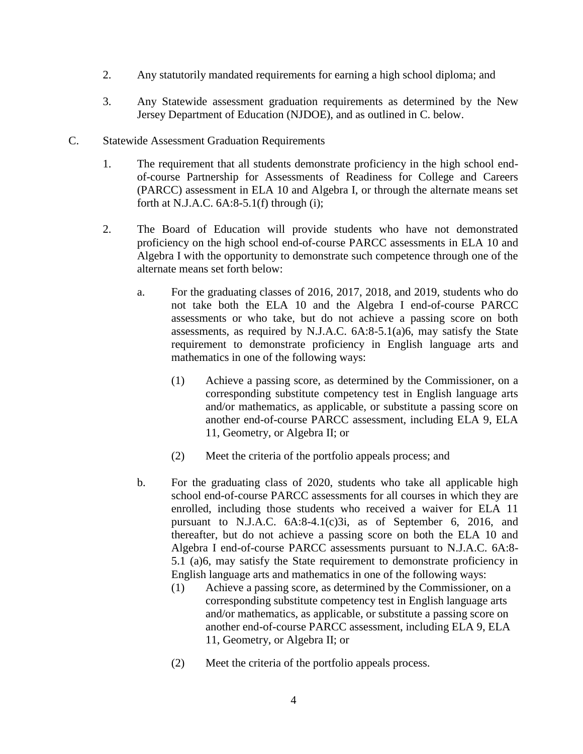- 2. Any statutorily mandated requirements for earning a high school diploma; and
- 3. Any Statewide assessment graduation requirements as determined by the New Jersey Department of Education (NJDOE), and as outlined in C. below.
- C. Statewide Assessment Graduation Requirements
	- 1. The requirement that all students demonstrate proficiency in the high school endof-course Partnership for Assessments of Readiness for College and Careers (PARCC) assessment in ELA 10 and Algebra I, or through the alternate means set forth at N.J.A.C.  $6A:8-5.1(f)$  through (i);
	- 2. The Board of Education will provide students who have not demonstrated proficiency on the high school end-of-course PARCC assessments in ELA 10 and Algebra I with the opportunity to demonstrate such competence through one of the alternate means set forth below:
		- a. For the graduating classes of 2016, 2017, 2018, and 2019, students who do not take both the ELA 10 and the Algebra I end-of-course PARCC assessments or who take, but do not achieve a passing score on both assessments, as required by N.J.A.C. 6A:8-5.1(a)6, may satisfy the State requirement to demonstrate proficiency in English language arts and mathematics in one of the following ways:
			- (1) Achieve a passing score, as determined by the Commissioner, on a corresponding substitute competency test in English language arts and/or mathematics, as applicable, or substitute a passing score on another end-of-course PARCC assessment, including ELA 9, ELA 11, Geometry, or Algebra II; or
			- (2) Meet the criteria of the portfolio appeals process; and
		- b. For the graduating class of 2020, students who take all applicable high school end-of-course PARCC assessments for all courses in which they are enrolled, including those students who received a waiver for ELA 11 pursuant to N.J.A.C. 6A:8-4.1(c)3i, as of September 6, 2016, and thereafter, but do not achieve a passing score on both the ELA 10 and Algebra I end-of-course PARCC assessments pursuant to N.J.A.C. 6A:8- 5.1 (a)6, may satisfy the State requirement to demonstrate proficiency in English language arts and mathematics in one of the following ways:
			- (1) Achieve a passing score, as determined by the Commissioner, on a corresponding substitute competency test in English language arts and/or mathematics, as applicable, or substitute a passing score on another end-of-course PARCC assessment, including ELA 9, ELA 11, Geometry, or Algebra II; or
			- (2) Meet the criteria of the portfolio appeals process.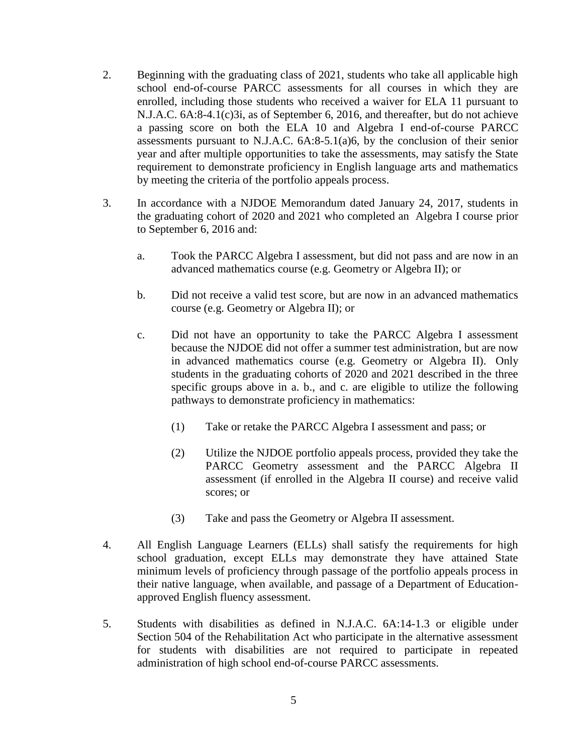- 2. Beginning with the graduating class of 2021, students who take all applicable high school end-of-course PARCC assessments for all courses in which they are enrolled, including those students who received a waiver for ELA 11 pursuant to N.J.A.C. 6A:8-4.1(c)3i, as of September 6, 2016, and thereafter, but do not achieve a passing score on both the ELA 10 and Algebra I end-of-course PARCC assessments pursuant to N.J.A.C. 6A:8-5.1(a)6, by the conclusion of their senior year and after multiple opportunities to take the assessments, may satisfy the State requirement to demonstrate proficiency in English language arts and mathematics by meeting the criteria of the portfolio appeals process.
- 3. In accordance with a NJDOE Memorandum dated January 24, 2017, students in the graduating cohort of 2020 and 2021 who completed an Algebra I course prior to September 6, 2016 and:
	- a. Took the PARCC Algebra I assessment, but did not pass and are now in an advanced mathematics course (e.g. Geometry or Algebra II); or
	- b. Did not receive a valid test score, but are now in an advanced mathematics course (e.g. Geometry or Algebra II); or
	- c. Did not have an opportunity to take the PARCC Algebra I assessment because the NJDOE did not offer a summer test administration, but are now in advanced mathematics course (e.g. Geometry or Algebra II). Only students in the graduating cohorts of 2020 and 2021 described in the three specific groups above in a. b., and c. are eligible to utilize the following pathways to demonstrate proficiency in mathematics:
		- (1) Take or retake the PARCC Algebra I assessment and pass; or
		- (2) Utilize the NJDOE portfolio appeals process, provided they take the PARCC Geometry assessment and the PARCC Algebra II assessment (if enrolled in the Algebra II course) and receive valid scores; or
		- (3) Take and pass the Geometry or Algebra II assessment.
- 4. All English Language Learners (ELLs) shall satisfy the requirements for high school graduation, except ELLs may demonstrate they have attained State minimum levels of proficiency through passage of the portfolio appeals process in their native language, when available, and passage of a Department of Educationapproved English fluency assessment.
- 5. Students with disabilities as defined in N.J.A.C. 6A:14-1.3 or eligible under Section 504 of the Rehabilitation Act who participate in the alternative assessment for students with disabilities are not required to participate in repeated administration of high school end-of-course PARCC assessments.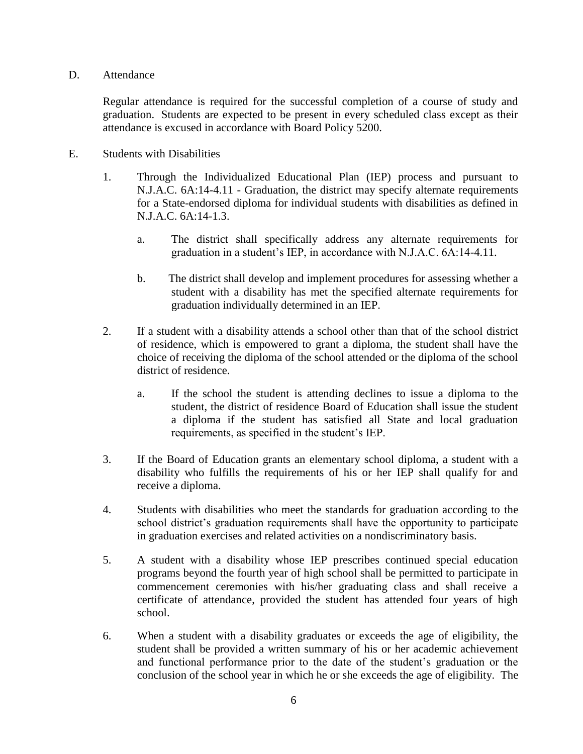D. Attendance

Regular attendance is required for the successful completion of a course of study and graduation. Students are expected to be present in every scheduled class except as their attendance is excused in accordance with Board Policy 5200.

- E. Students with Disabilities
	- 1. Through the Individualized Educational Plan (IEP) process and pursuant to N.J.A.C. 6A:14-4.11 - Graduation, the district may specify alternate requirements for a State-endorsed diploma for individual students with disabilities as defined in N.J.A.C. 6A:14-1.3.
		- a. The district shall specifically address any alternate requirements for graduation in a student's IEP, in accordance with N.J.A.C. 6A:14-4.11.
		- b. The district shall develop and implement procedures for assessing whether a student with a disability has met the specified alternate requirements for graduation individually determined in an IEP.
	- 2. If a student with a disability attends a school other than that of the school district of residence, which is empowered to grant a diploma, the student shall have the choice of receiving the diploma of the school attended or the diploma of the school district of residence.
		- a. If the school the student is attending declines to issue a diploma to the student, the district of residence Board of Education shall issue the student a diploma if the student has satisfied all State and local graduation requirements, as specified in the student's IEP.
	- 3. If the Board of Education grants an elementary school diploma, a student with a disability who fulfills the requirements of his or her IEP shall qualify for and receive a diploma.
	- 4. Students with disabilities who meet the standards for graduation according to the school district's graduation requirements shall have the opportunity to participate in graduation exercises and related activities on a nondiscriminatory basis.
	- 5. A student with a disability whose IEP prescribes continued special education programs beyond the fourth year of high school shall be permitted to participate in commencement ceremonies with his/her graduating class and shall receive a certificate of attendance, provided the student has attended four years of high school.
	- 6. When a student with a disability graduates or exceeds the age of eligibility, the student shall be provided a written summary of his or her academic achievement and functional performance prior to the date of the student's graduation or the conclusion of the school year in which he or she exceeds the age of eligibility. The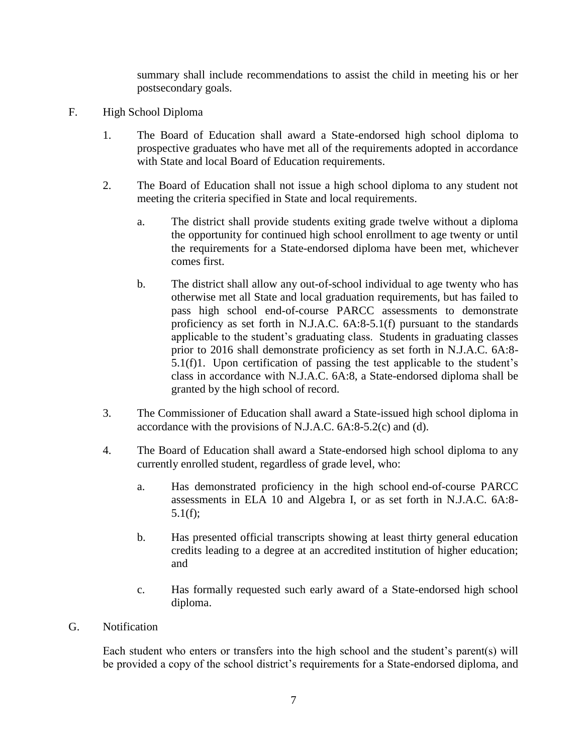summary shall include recommendations to assist the child in meeting his or her postsecondary goals.

- F. High School Diploma
	- 1. The Board of Education shall award a State-endorsed high school diploma to prospective graduates who have met all of the requirements adopted in accordance with State and local Board of Education requirements.
	- 2. The Board of Education shall not issue a high school diploma to any student not meeting the criteria specified in State and local requirements.
		- a. The district shall provide students exiting grade twelve without a diploma the opportunity for continued high school enrollment to age twenty or until the requirements for a State-endorsed diploma have been met, whichever comes first.
		- b. The district shall allow any out-of-school individual to age twenty who has otherwise met all State and local graduation requirements, but has failed to pass high school end-of-course PARCC assessments to demonstrate proficiency as set forth in N.J.A.C. 6A:8-5.1(f) pursuant to the standards applicable to the student's graduating class. Students in graduating classes prior to 2016 shall demonstrate proficiency as set forth in N.J.A.C. 6A:8- 5.1(f)1. Upon certification of passing the test applicable to the student's class in accordance with N.J.A.C. 6A:8, a State-endorsed diploma shall be granted by the high school of record.
	- 3. The Commissioner of Education shall award a State-issued high school diploma in accordance with the provisions of N.J.A.C. 6A:8-5.2(c) and (d).
	- 4. The Board of Education shall award a State-endorsed high school diploma to any currently enrolled student, regardless of grade level, who:
		- a. Has demonstrated proficiency in the high school end-of-course PARCC assessments in ELA 10 and Algebra I, or as set forth in N.J.A.C. 6A:8- 5.1(f);
		- b. Has presented official transcripts showing at least thirty general education credits leading to a degree at an accredited institution of higher education; and
		- c. Has formally requested such early award of a State-endorsed high school diploma.
- G. Notification

Each student who enters or transfers into the high school and the student's parent(s) will be provided a copy of the school district's requirements for a State-endorsed diploma, and